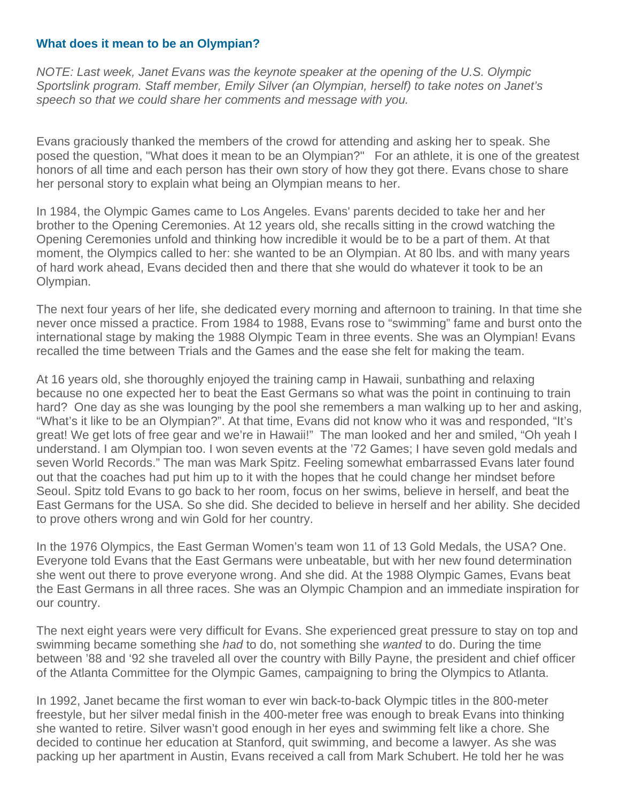## **What does it mean to be an Olympian?**

*NOTE: Last week, Janet Evans was the keynote speaker at the opening of the U.S. Olympic Sportslink program. Staff member, Emily Silver (an Olympian, herself) to take notes on Janet's speech so that we could share her comments and message with you.* 

Evans graciously thanked the members of the crowd for attending and asking her to speak. She posed the question, "What does it mean to be an Olympian?" For an athlete, it is one of the greatest honors of all time and each person has their own story of how they got there. Evans chose to share her personal story to explain what being an Olympian means to her.

In 1984, the Olympic Games came to Los Angeles. Evans' parents decided to take her and her brother to the Opening Ceremonies. At 12 years old, she recalls sitting in the crowd watching the Opening Ceremonies unfold and thinking how incredible it would be to be a part of them. At that moment, the Olympics called to her: she wanted to be an Olympian. At 80 lbs. and with many years of hard work ahead, Evans decided then and there that she would do whatever it took to be an Olympian.

The next four years of her life, she dedicated every morning and afternoon to training. In that time she never once missed a practice. From 1984 to 1988, Evans rose to "swimming" fame and burst onto the international stage by making the 1988 Olympic Team in three events. She was an Olympian! Evans recalled the time between Trials and the Games and the ease she felt for making the team.

At 16 years old, she thoroughly enjoyed the training camp in Hawaii, sunbathing and relaxing because no one expected her to beat the East Germans so what was the point in continuing to train hard? One day as she was lounging by the pool she remembers a man walking up to her and asking, "What's it like to be an Olympian?". At that time, Evans did not know who it was and responded, "It's great! We get lots of free gear and we're in Hawaii!" The man looked and her and smiled, "Oh yeah I understand. I am Olympian too. I won seven events at the '72 Games; I have seven gold medals and seven World Records." The man was Mark Spitz. Feeling somewhat embarrassed Evans later found out that the coaches had put him up to it with the hopes that he could change her mindset before Seoul. Spitz told Evans to go back to her room, focus on her swims, believe in herself, and beat the East Germans for the USA. So she did. She decided to believe in herself and her ability. She decided to prove others wrong and win Gold for her country.

In the 1976 Olympics, the East German Women's team won 11 of 13 Gold Medals, the USA? One. Everyone told Evans that the East Germans were unbeatable, but with her new found determination she went out there to prove everyone wrong. And she did. At the 1988 Olympic Games, Evans beat the East Germans in all three races. She was an Olympic Champion and an immediate inspiration for our country.

The next eight years were very difficult for Evans. She experienced great pressure to stay on top and swimming became something she *had* to do, not something she *wanted* to do. During the time between '88 and '92 she traveled all over the country with Billy Payne, the president and chief officer of the Atlanta Committee for the Olympic Games, campaigning to bring the Olympics to Atlanta.

In 1992, Janet became the first woman to ever win back-to-back Olympic titles in the 800-meter freestyle, but her silver medal finish in the 400-meter free was enough to break Evans into thinking she wanted to retire. Silver wasn't good enough in her eyes and swimming felt like a chore. She decided to continue her education at Stanford, quit swimming, and become a lawyer. As she was packing up her apartment in Austin, Evans received a call from Mark Schubert. He told her he was